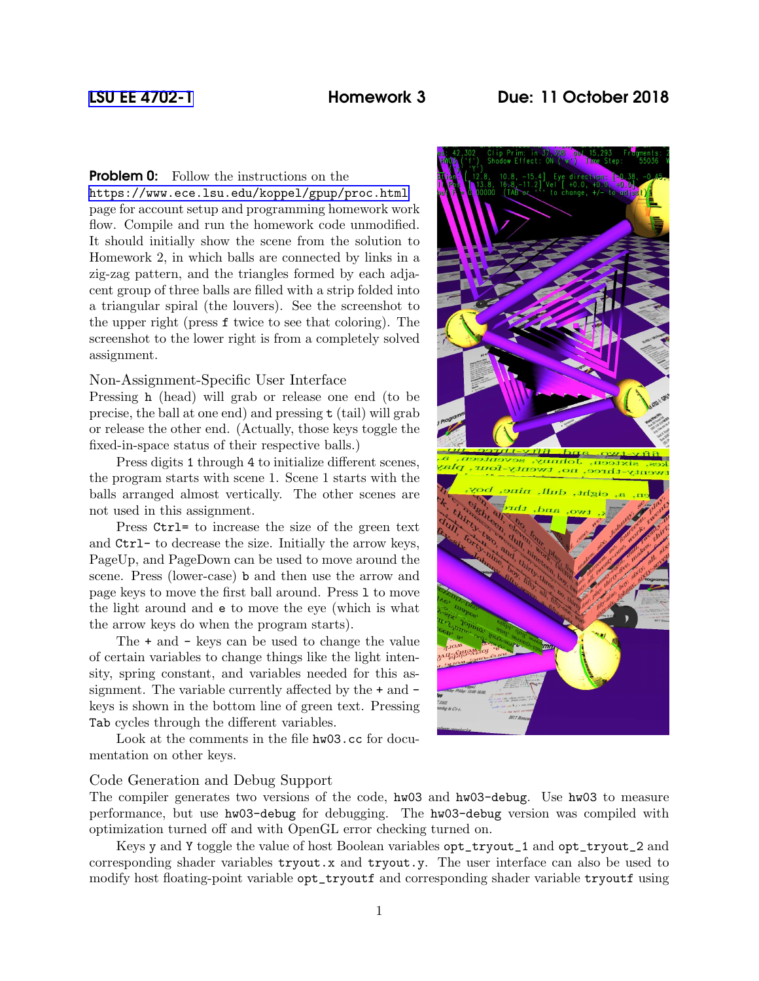**Problem 0:** Follow the instructions on the

<https://www.ece.lsu.edu/koppel/gpup/proc.html> page for account setup and programming homework work flow. Compile and run the homework code unmodified. It should initially show the scene from the solution to Homework 2, in which balls are connected by links in a zig-zag pattern, and the triangles formed by each adjacent group of three balls are filled with a strip folded into a triangular spiral (the louvers). See the screenshot to the upper right (press f twice to see that coloring). The screenshot to the lower right is from a completely solved assignment.

## Non-Assignment-Specific User Interface

Pressing h (head) will grab or release one end (to be precise, the ball at one end) and pressing t (tail) will grab or release the other end. (Actually, those keys toggle the fixed-in-space status of their respective balls.)

Press digits 1 through 4 to initialize different scenes, the program starts with scene 1. Scene 1 starts with the balls arranged almost vertically. The other scenes are not used in this assignment.

Press Ctrl= to increase the size of the green text and Ctrl- to decrease the size. Initially the arrow keys, PageUp, and PageDown can be used to move around the scene. Press (lower-case) b and then use the arrow and page keys to move the first ball around. Press l to move the light around and e to move the eye (which is what the arrow keys do when the program starts).

The + and - keys can be used to change the value of certain variables to change things like the light intensity, spring constant, and variables needed for this assignment. The variable currently affected by the + and keys is shown in the bottom line of green text. Pressing Tab cycles through the different variables.

Look at the comments in the file hw03.cc for documentation on other keys.

### Code Generation and Debug Support

The compiler generates two versions of the code, hw03 and hw03-debug. Use hw03 to measure performance, but use hw03-debug for debugging. The hw03-debug version was compiled with optimization turned off and with OpenGL error checking turned on.

Keys y and Y toggle the value of host Boolean variables opt\_tryout\_1 and opt\_tryout\_2 and corresponding shader variables tryout.x and tryout.y. The user interface can also be used to modify host floating-point variable opt\_tryoutf and corresponding shader variable tryoutf using

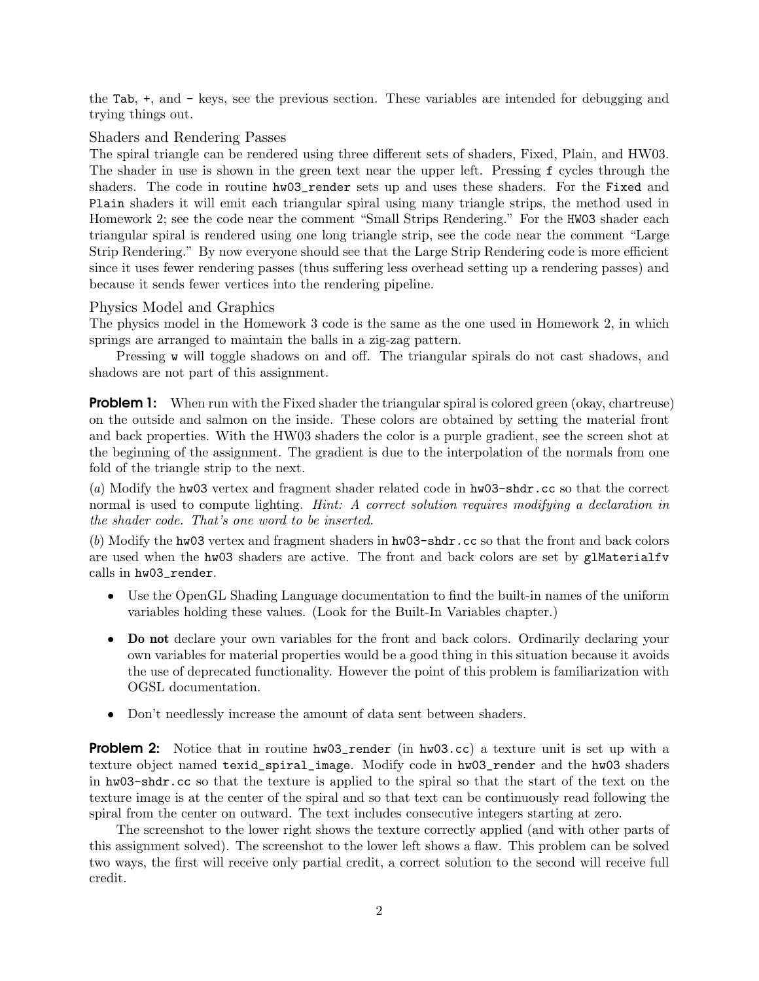the Tab, +, and - keys, see the previous section. These variables are intended for debugging and trying things out.

# Shaders and Rendering Passes

The spiral triangle can be rendered using three different sets of shaders, Fixed, Plain, and HW03. The shader in use is shown in the green text near the upper left. Pressing f cycles through the shaders. The code in routine hw03\_render sets up and uses these shaders. For the Fixed and Plain shaders it will emit each triangular spiral using many triangle strips, the method used in Homework 2; see the code near the comment "Small Strips Rendering." For the HW03 shader each triangular spiral is rendered using one long triangle strip, see the code near the comment "Large Strip Rendering." By now everyone should see that the Large Strip Rendering code is more efficient since it uses fewer rendering passes (thus suffering less overhead setting up a rendering passes) and because it sends fewer vertices into the rendering pipeline.

## Physics Model and Graphics

The physics model in the Homework 3 code is the same as the one used in Homework 2, in which springs are arranged to maintain the balls in a zig-zag pattern.

Pressing w will toggle shadows on and off. The triangular spirals do not cast shadows, and shadows are not part of this assignment.

**Problem 1:** When run with the Fixed shader the triangular spiral is colored green (okay, chartreuse) on the outside and salmon on the inside. These colors are obtained by setting the material front and back properties. With the HW03 shaders the color is a purple gradient, see the screen shot at the beginning of the assignment. The gradient is due to the interpolation of the normals from one fold of the triangle strip to the next.

(a) Modify the hw03 vertex and fragment shader related code in hw03-shdr.cc so that the correct normal is used to compute lighting. *Hint: A correct solution requires modifying a declaration in* the shader code. That's one word to be inserted.

(b) Modify the hw03 vertex and fragment shaders in hw03-shdr.cc so that the front and back colors are used when the hw03 shaders are active. The front and back colors are set by glMaterialfv calls in hw03\_render.

- Use the OpenGL Shading Language documentation to find the built-in names of the uniform variables holding these values. (Look for the Built-In Variables chapter.)
- Do not declare your own variables for the front and back colors. Ordinarily declaring your own variables for material properties would be a good thing in this situation because it avoids the use of deprecated functionality. However the point of this problem is familiarization with OGSL documentation.
- Don't needlessly increase the amount of data sent between shaders.

**Problem 2:** Notice that in routine hw03\_render (in hw03.cc) a texture unit is set up with a texture object named texid\_spiral\_image. Modify code in hw03\_render and the hw03 shaders in hw03-shdr.cc so that the texture is applied to the spiral so that the start of the text on the texture image is at the center of the spiral and so that text can be continuously read following the spiral from the center on outward. The text includes consecutive integers starting at zero.

The screenshot to the lower right shows the texture correctly applied (and with other parts of this assignment solved). The screenshot to the lower left shows a flaw. This problem can be solved two ways, the first will receive only partial credit, a correct solution to the second will receive full credit.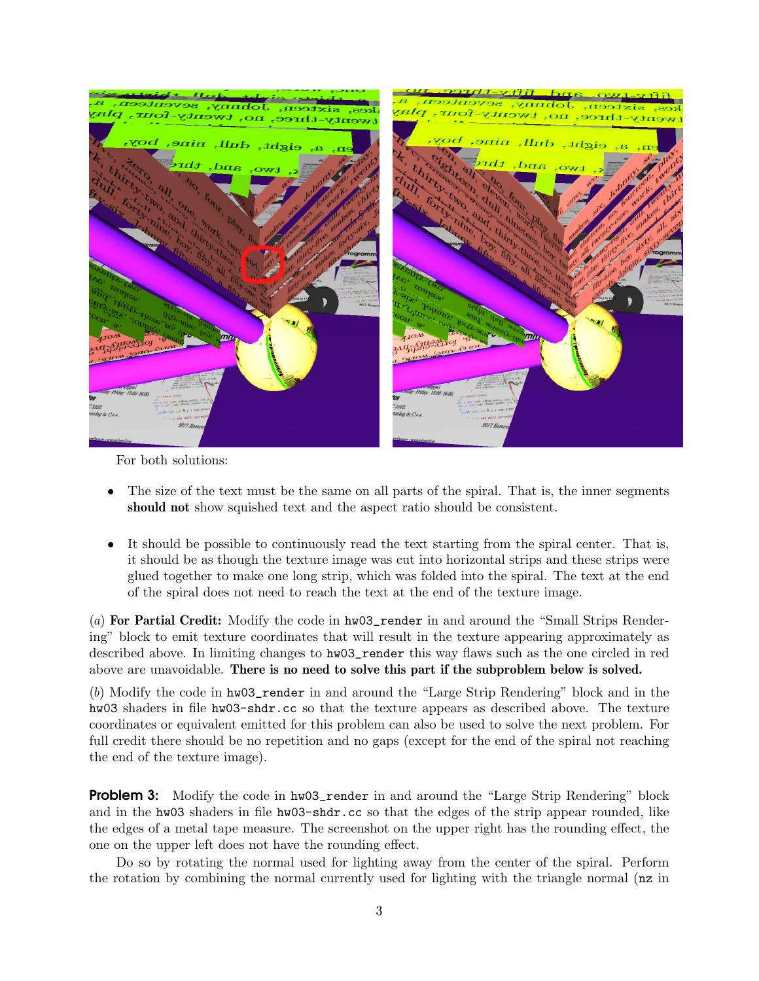

For both solutions:

- The size of the text must be the same on all parts of the spiral. That is, the inner segments should not show squished text and the aspect ratio should be consistent.
- It should be possible to continuously read the text starting from the spiral center. That is, it should be as though the texture image was cut into horizontal strips and these strips were glued together to make one long strip, which was folded into the spiral. The text at the end of the spiral does not need to reach the text at the end of the texture image.

(a) For Partial Credit: Modify the code in hw03\_render in and around the "Small Strips Rendering" block to emit texture coordinates that will result in the texture appearing approximately as described above. In limiting changes to hw03\_render this way flaws such as the one circled in red above are unavoidable. There is no need to solve this part if the subproblem below is solved.

(b) Modify the code in hw03\_render in and around the "Large Strip Rendering" block and in the hw03 shaders in file hw03-shdr.cc so that the texture appears as described above. The texture coordinates or equivalent emitted for this problem can also be used to solve the next problem. For full credit there should be no repetition and no gaps (except for the end of the spiral not reaching the end of the texture image).

**Problem 3:** Modify the code in hw03\_render in and around the "Large Strip Rendering" block and in the hw03 shaders in file hw03-shdr.cc so that the edges of the strip appear rounded, like the edges of a metal tape measure. The screenshot on the upper right has the rounding effect, the one on the upper left does not have the rounding effect.

Do so by rotating the normal used for lighting away from the center of the spiral. Perform the rotation by combining the normal currently used for lighting with the triangle normal (nz in